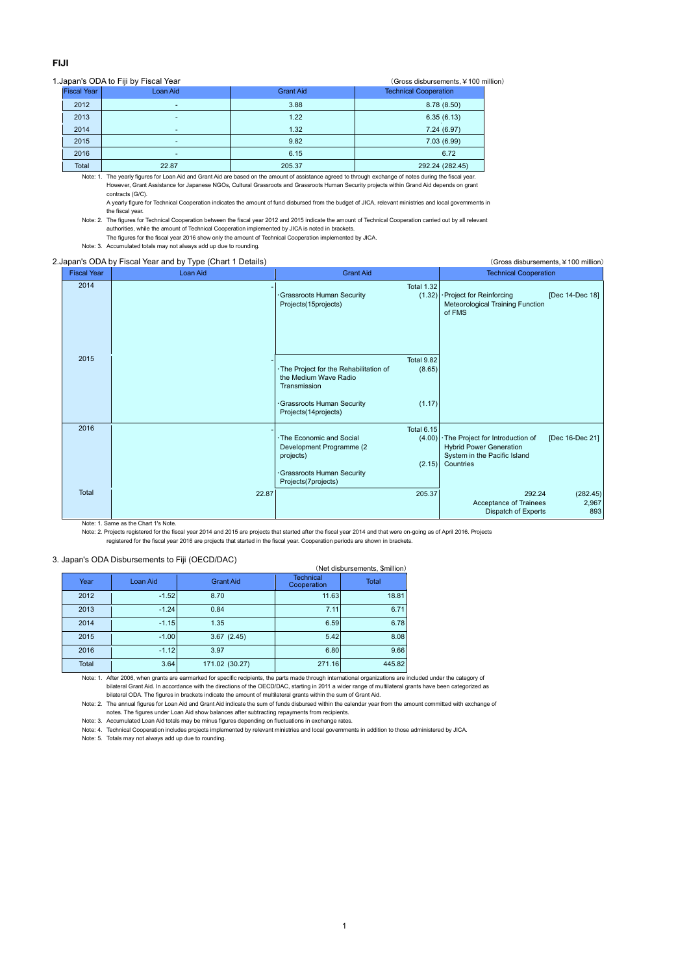## **FIJI**

## 1.Japan's ODA to Fiji by Fiscal Year (Gross disbursements, ¥100 million)

| <b>Fiscal Year</b> | Loan Aid                 | <b>Grant Aid</b> | <b>Technical Cooperation</b> |  |  |  |
|--------------------|--------------------------|------------------|------------------------------|--|--|--|
| 2012               | ٠                        | 3.88             | 8.78(8.50)                   |  |  |  |
| 2013               | ٠                        | 1.22             | 6.35(6.13)                   |  |  |  |
| 2014               | $\overline{\phantom{a}}$ | 1.32             | 7.24(6.97)                   |  |  |  |
| 2015               | ٠                        | 9.82             | 7.03(6.99)                   |  |  |  |
| 2016               | ٠                        | 6.15             | 6.72                         |  |  |  |
| $-1$               | 0.000                    | 0.0500           | 0.00011000117                |  |  |  |

Total 22.87 205.37 292.24 (282.45) Note: 1. The yearly figures for Loan Aid and Grant Aid are based on the amount of assistance agreed to through exchange of notes during the fiscal year. However, Grant Assistance for Japanese NGOs, Cultural Grassroots and Grassroots Human Security projects within Grand Aid depends on grant contracts (G/C).

A yearly figure for Technical Cooperation indicates the amount of fund disbursed from the budget of JICA, relevant ministries and local governments in the fiscal year.

Note: 2. The figures for Technical Cooperation between the fiscal year 2012 and 2015 indicate the amount of Technical Cooperation carried out by all relevant authorities, while the amount of Technical Cooperation implemented by JICA is noted in brackets.

The figures for the fiscal year 2016 show only the amount of Technical Cooperation implemented by JICA.

Note: 3. Accumulated totals may not always add up due to rounding.

|                    | 2. Japan's ODA by Fiscal Year and by Type (Chart 1 Details) | (Gross disbursements, ¥ 100 million)                                                                                                  |                                       |                                                                                                                  |                          |  |
|--------------------|-------------------------------------------------------------|---------------------------------------------------------------------------------------------------------------------------------------|---------------------------------------|------------------------------------------------------------------------------------------------------------------|--------------------------|--|
| <b>Fiscal Year</b> | Loan Aid                                                    | <b>Grant Aid</b>                                                                                                                      |                                       | <b>Technical Cooperation</b>                                                                                     |                          |  |
| 2014               |                                                             | Grassroots Human Security<br>Projects(15projects)                                                                                     | <b>Total 1.32</b><br>(1.32)           | · Project for Reinforcing<br>Meteorological Training Function<br>of FMS                                          | [Dec 14-Dec 18]          |  |
| 2015               |                                                             | · The Project for the Rehabilitation of<br>the Medium Wave Radio<br>Transmission<br>Grassroots Human Security<br>Projects(14projects) | Total 9.82<br>(8.65)<br>(1.17)        |                                                                                                                  |                          |  |
| 2016               |                                                             | · The Economic and Social<br>Development Programme (2)<br>projects)<br>Grassroots Human Security<br>Projects(7projects)               | <b>Total 6.15</b><br>(4.00)<br>(2.15) | · The Project for Introduction of<br><b>Hybrid Power Generation</b><br>System in the Pacific Island<br>Countries | [Dec 16-Dec 21]          |  |
| Total              | 22.87                                                       |                                                                                                                                       | 205.37                                | 292.24<br>Acceptance of Trainees<br>Dispatch of Experts                                                          | (282.45)<br>2,967<br>893 |  |

Note: 1. Same as the Chart 1's Note.

Note: 2. Projects registered for the fiscal year 2014 and 2015 are projects that started after the fiscal year 2014 and that were on-going as of April 2016. Projects

registered for the fiscal year 2016 are projects that started in the fiscal year. Cooperation periods are shown in brackets.

## 3. Japan's ODA Disbursements to Fiji (OECD/DAC)

| (Net disbursements, \$million) |          |                  |                                 |              |  |  |  |
|--------------------------------|----------|------------------|---------------------------------|--------------|--|--|--|
| Year                           | Loan Aid | <b>Grant Aid</b> | <b>Technical</b><br>Cooperation | <b>Total</b> |  |  |  |
| 2012                           | $-1.52$  | 8.70             | 11.63                           | 18.81        |  |  |  |
| 2013                           | $-1.24$  | 0.84             | 7.11                            | 6.71         |  |  |  |
| 2014                           | $-1.15$  | 1.35             | 6.59                            | 6.78         |  |  |  |
| 2015                           | $-1.00$  | 3.67(2.45)       | 5.42                            | 8.08         |  |  |  |
| 2016                           | $-1.12$  | 3.97             | 6.80                            | 9.66         |  |  |  |
| Total                          | 3.64     | 171.02 (30.27)   | 271.16                          | 445.82       |  |  |  |

Note: 1. After 2006, when grants are earmarked for specific recipients, the parts made through international organizations are included under the category of bilateral Grant Aid. In accordance with the directions of the OECD/DAC, starting in 2011 a wider range of multilateral grants have been categorized as bilateral ODA. The figures in brackets indicate the amount of multilateral grants within the sum of Grant Aid.

Note: 2. The annual figures for Loan Aid and Grant Aid indicate the sum of funds disbursed within the calendar year from the amount committed with exchange of notes. The figures under Loan Aid show balances after subtracting repayments from recipients.

Note: 3. Accumulated Loan Aid totals may be minus figures depending on fluctuations in exchange rates.

Note: 4. Technical Cooperation includes projects implemented by relevant ministries and local governments in addition to those administered by JICA.

Note: 5. Totals may not always add up due to rounding.